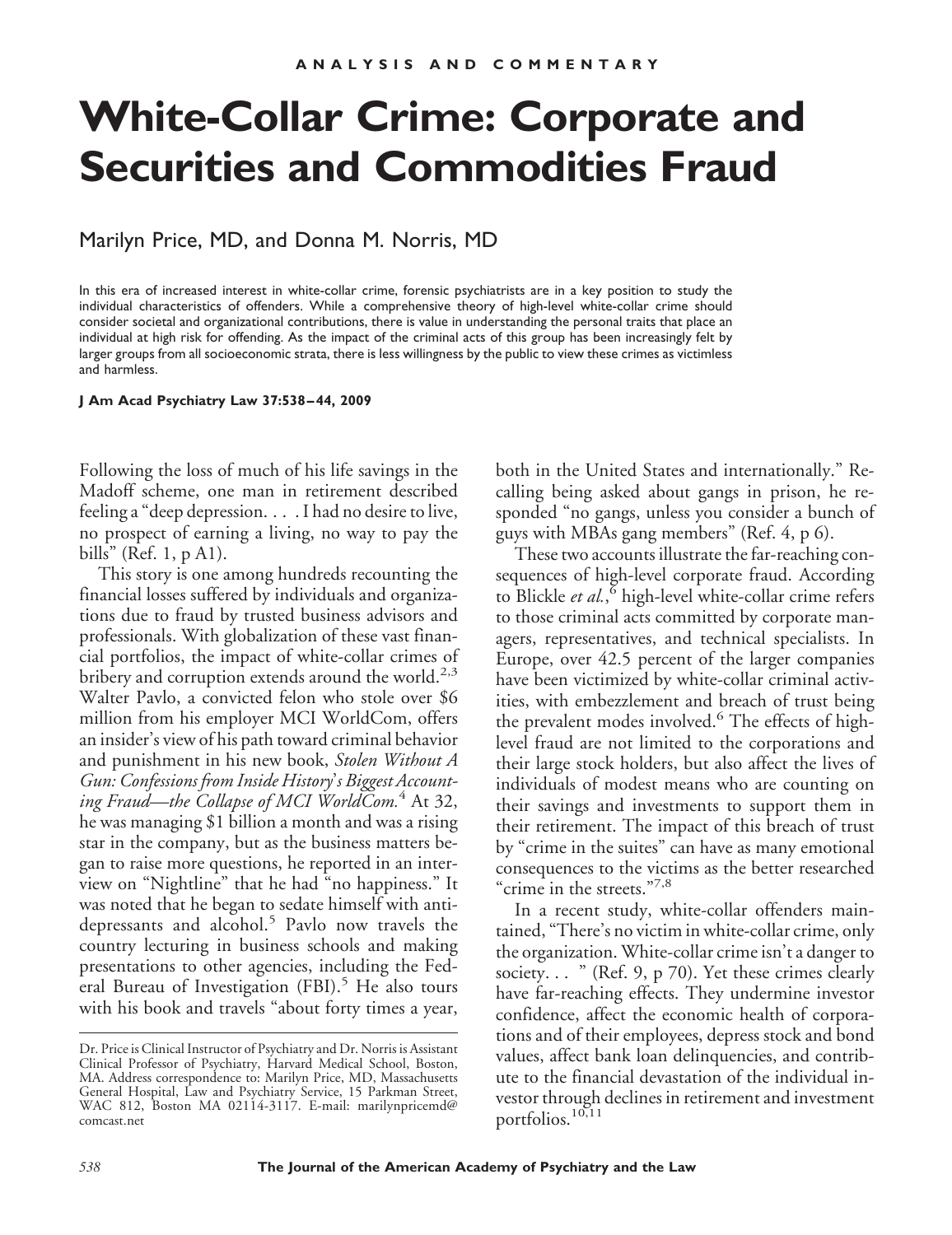# **White-Collar Crime: Corporate and Securities and Commodities Fraud**

## Marilyn Price, MD, and Donna M. Norris, MD

In this era of increased interest in white-collar crime, forensic psychiatrists are in a key position to study the individual characteristics of offenders. While a comprehensive theory of high-level white-collar crime should consider societal and organizational contributions, there is value in understanding the personal traits that place an individual at high risk for offending. As the impact of the criminal acts of this group has been increasingly felt by larger groups from all socioeconomic strata, there is less willingness by the public to view these crimes as victimless and harmless.

#### **J Am Acad Psychiatry Law 37:538 – 44, 2009**

Following the loss of much of his life savings in the Madoff scheme, one man in retirement described feeling a "deep depression. . . . I had no desire to live, no prospect of earning a living, no way to pay the bills" (Ref. 1, p A1).

This story is one among hundreds recounting the financial losses suffered by individuals and organizations due to fraud by trusted business advisors and professionals. With globalization of these vast financial portfolios, the impact of white-collar crimes of bribery and corruption extends around the world.<sup>2,3</sup> Walter Pavlo, a convicted felon who stole over \$6 million from his employer MCI WorldCom, offers an insider's view of his path toward criminal behavior and punishment in his new book, *Stolen Without A Gun: Confessions from Inside History*'*s Biggest Accounting Fraud—the Collapse of MCI WorldCom.*<sup>4</sup> At 32, he was managing \$1 billion a month and was a rising star in the company, but as the business matters began to raise more questions, he reported in an interview on "Nightline" that he had "no happiness." It was noted that he began to sedate himself with antidepressants and alcohol.<sup>5</sup> Pavlo now travels the country lecturing in business schools and making presentations to other agencies, including the Federal Bureau of Investigation (FBI).<sup>5</sup> He also tours with his book and travels "about forty times a year,

both in the United States and internationally." Recalling being asked about gangs in prison, he responded "no gangs, unless you consider a bunch of guys with MBAs gang members" (Ref. 4, p 6).

These two accounts illustrate the far-reaching consequences of high-level corporate fraud. According to Blickle *et al.*, <sup>6</sup> high-level white-collar crime refers to those criminal acts committed by corporate managers, representatives, and technical specialists. In Europe, over 42.5 percent of the larger companies have been victimized by white-collar criminal activities, with embezzlement and breach of trust being the prevalent modes involved.<sup>6</sup> The effects of highlevel fraud are not limited to the corporations and their large stock holders, but also affect the lives of individuals of modest means who are counting on their savings and investments to support them in their retirement. The impact of this breach of trust by "crime in the suites" can have as many emotional consequences to the victims as the better researched "crime in the streets."7,8

In a recent study, white-collar offenders maintained, "There's no victim in white-collar crime, only the organization. White-collar crime isn't a danger to society... " (Ref. 9, p 70). Yet these crimes clearly have far-reaching effects. They undermine investor confidence, affect the economic health of corporations and of their employees, depress stock and bond values, affect bank loan delinquencies, and contribute to the financial devastation of the individual investor through declines in retirement and investment portfolios.<sup>10,11</sup>

Dr. Price is Clinical Instructor of Psychiatry and Dr. Norris is Assistant Clinical Professor of Psychiatry, Harvard Medical School, Boston, MA. Address correspondence to: Marilyn Price, MD, Massachusetts General Hospital, Law and Psychiatry Service, 15 Parkman Street, WAC 812, Boston MA 02114-3117. E-mail: marilynpricemd@ comcast.net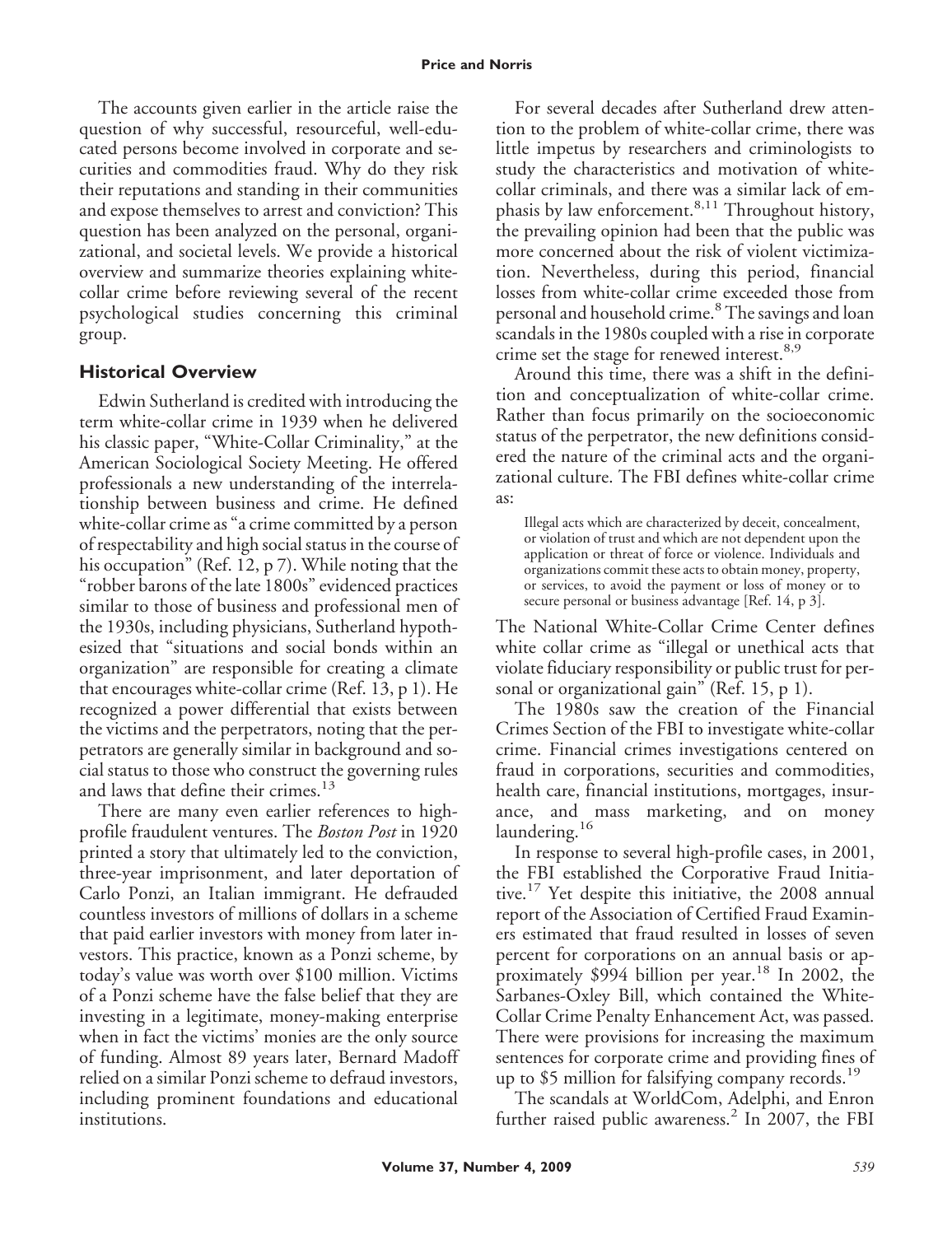The accounts given earlier in the article raise the question of why successful, resourceful, well-educated persons become involved in corporate and securities and commodities fraud. Why do they risk their reputations and standing in their communities and expose themselves to arrest and conviction? This question has been analyzed on the personal, organizational, and societal levels. We provide a historical overview and summarize theories explaining whitecollar crime before reviewing several of the recent psychological studies concerning this criminal group.

## **Historical Overview**

Edwin Sutherland is credited with introducing the term white-collar crime in 1939 when he delivered his classic paper, "White-Collar Criminality," at the American Sociological Society Meeting. He offered professionals a new understanding of the interrelationship between business and crime. He defined white-collar crime as "a crime committed by a person of respectability and high social status in the course of his occupation" (Ref. 12, p 7). While noting that the "robber barons of the late 1800s" evidenced practices similar to those of business and professional men of the 1930s, including physicians, Sutherland hypothesized that "situations and social bonds within an organization" are responsible for creating a climate that encourages white-collar crime (Ref. 13, p 1). He recognized a power differential that exists between the victims and the perpetrators, noting that the perpetrators are generally similar in background and social status to those who construct the governing rules and laws that define their crimes.<sup>13</sup>

There are many even earlier references to highprofile fraudulent ventures. The *Boston Post* in 1920 printed a story that ultimately led to the conviction, three-year imprisonment, and later deportation of Carlo Ponzi, an Italian immigrant. He defrauded countless investors of millions of dollars in a scheme that paid earlier investors with money from later investors. This practice, known as a Ponzi scheme, by today's value was worth over \$100 million. Victims of a Ponzi scheme have the false belief that they are investing in a legitimate, money-making enterprise when in fact the victims' monies are the only source of funding. Almost 89 years later, Bernard Madoff relied on a similar Ponzi scheme to defraud investors, including prominent foundations and educational institutions.

For several decades after Sutherland drew attention to the problem of white-collar crime, there was little impetus by researchers and criminologists to study the characteristics and motivation of whitecollar criminals, and there was a similar lack of emphasis by law enforcement.<sup>8,11</sup> Throughout history, the prevailing opinion had been that the public was more concerned about the risk of violent victimization. Nevertheless, during this period, financial losses from white-collar crime exceeded those from personal and household crime.<sup>8</sup> The savings and loan scandals in the 1980s coupled with a rise in corporate crime set the stage for renewed interest.<sup>8,9</sup>

Around this time, there was a shift in the definition and conceptualization of white-collar crime. Rather than focus primarily on the socioeconomic status of the perpetrator, the new definitions considered the nature of the criminal acts and the organizational culture. The FBI defines white-collar crime as:

Illegal acts which are characterized by deceit, concealment, or violation of trust and which are not dependent upon the application or threat of force or violence. Individuals and organizations commit these acts to obtain money, property, or services, to avoid the payment or loss of money or to secure personal or business advantage [Ref. 14, p 3].

The National White-Collar Crime Center defines white collar crime as "illegal or unethical acts that violate fiduciary responsibility or public trust for personal or organizational gain" (Ref. 15, p 1).

The 1980s saw the creation of the Financial Crimes Section of the FBI to investigate white-collar crime. Financial crimes investigations centered on fraud in corporations, securities and commodities, health care, financial institutions, mortgages, insurance, and mass marketing, and on money laundering.<sup>16</sup>

In response to several high-profile cases, in 2001, the FBI established the Corporative Fraud Initiative.<sup>17</sup> Yet despite this initiative, the 2008 annual report of the Association of Certified Fraud Examiners estimated that fraud resulted in losses of seven percent for corporations on an annual basis or approximately  $$994$  billion per year.<sup>18</sup> In 2002, the Sarbanes-Oxley Bill, which contained the White-Collar Crime Penalty Enhancement Act, was passed. There were provisions for increasing the maximum sentences for corporate crime and providing fines of up to \$5 million for falsifying company records.<sup>19</sup>

The scandals at WorldCom, Adelphi, and Enron further raised public awareness.<sup>2</sup> In 2007, the FBI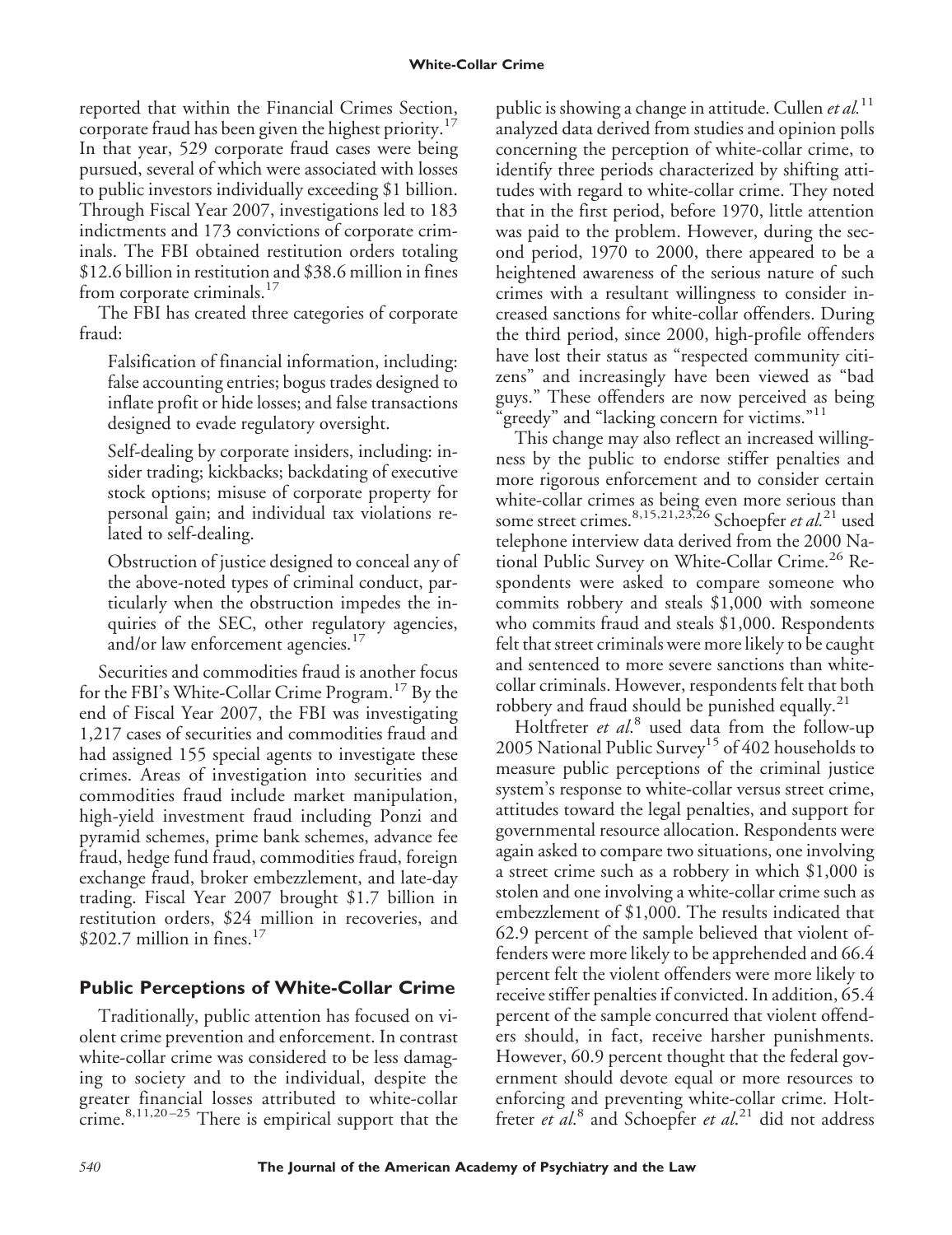reported that within the Financial Crimes Section, corporate fraud has been given the highest priority.<sup>17</sup> In that year, 529 corporate fraud cases were being pursued, several of which were associated with losses to public investors individually exceeding \$1 billion. Through Fiscal Year 2007, investigations led to 183 indictments and 173 convictions of corporate criminals. The FBI obtained restitution orders totaling \$12.6 billion in restitution and \$38.6 million in fines from corporate criminals. $17$ 

The FBI has created three categories of corporate fraud:

Falsification of financial information, including: false accounting entries; bogus trades designed to inflate profit or hide losses; and false transactions designed to evade regulatory oversight.

Self-dealing by corporate insiders, including: insider trading; kickbacks; backdating of executive stock options; misuse of corporate property for personal gain; and individual tax violations related to self-dealing.

Obstruction of justice designed to conceal any of the above-noted types of criminal conduct, particularly when the obstruction impedes the inquiries of the SEC, other regulatory agencies, and/or law enforcement agencies.<sup>17</sup>

Securities and commodities fraud is another focus for the FBI's White-Collar Crime Program.<sup>17</sup> By the end of Fiscal Year 2007, the FBI was investigating 1,217 cases of securities and commodities fraud and had assigned 155 special agents to investigate these crimes. Areas of investigation into securities and commodities fraud include market manipulation, high-yield investment fraud including Ponzi and pyramid schemes, prime bank schemes, advance fee fraud, hedge fund fraud, commodities fraud, foreign exchange fraud, broker embezzlement, and late-day trading. Fiscal Year 2007 brought \$1.7 billion in restitution orders, \$24 million in recoveries, and  $$202.7$  million in fines.<sup>17</sup>

# **Public Perceptions of White-Collar Crime**

Traditionally, public attention has focused on violent crime prevention and enforcement. In contrast white-collar crime was considered to be less damaging to society and to the individual, despite the greater financial losses attributed to white-collar crime. $8,11,20-25$  There is empirical support that the

public is showing a change in attitude. Cullen *et al.*<sup>11</sup> analyzed data derived from studies and opinion polls concerning the perception of white-collar crime, to identify three periods characterized by shifting attitudes with regard to white-collar crime. They noted that in the first period, before 1970, little attention was paid to the problem. However, during the second period, 1970 to 2000, there appeared to be a heightened awareness of the serious nature of such crimes with a resultant willingness to consider increased sanctions for white-collar offenders. During the third period, since 2000, high-profile offenders have lost their status as "respected community citizens" and increasingly have been viewed as "bad guys." These offenders are now perceived as being greedy" and "lacking concern for victims."<sup>11</sup>

This change may also reflect an increased willingness by the public to endorse stiffer penalties and more rigorous enforcement and to consider certain white-collar crimes as being even more serious than some street crimes.8,15,21,23,26 Schoepfer *et al.*<sup>21</sup> used telephone interview data derived from the 2000 National Public Survey on White-Collar Crime.<sup>26</sup> Respondents were asked to compare someone who commits robbery and steals \$1,000 with someone who commits fraud and steals \$1,000. Respondents felt that street criminals were more likely to be caught and sentenced to more severe sanctions than whitecollar criminals. However, respondents felt that both robbery and fraud should be punished equally.<sup>21</sup>

Holtfreter *et al*. <sup>8</sup> used data from the follow-up 2005 National Public Survey<sup>15</sup> of 402 households to measure public perceptions of the criminal justice system's response to white-collar versus street crime, attitudes toward the legal penalties, and support for governmental resource allocation. Respondents were again asked to compare two situations, one involving a street crime such as a robbery in which \$1,000 is stolen and one involving a white-collar crime such as embezzlement of \$1,000. The results indicated that 62.9 percent of the sample believed that violent offenders were more likely to be apprehended and 66.4 percent felt the violent offenders were more likely to receive stiffer penalties if convicted. In addition, 65.4 percent of the sample concurred that violent offenders should, in fact, receive harsher punishments. However, 60.9 percent thought that the federal government should devote equal or more resources to enforcing and preventing white-collar crime. Holtfreter *et al*. <sup>8</sup> and Schoepfer *et al*. <sup>21</sup> did not address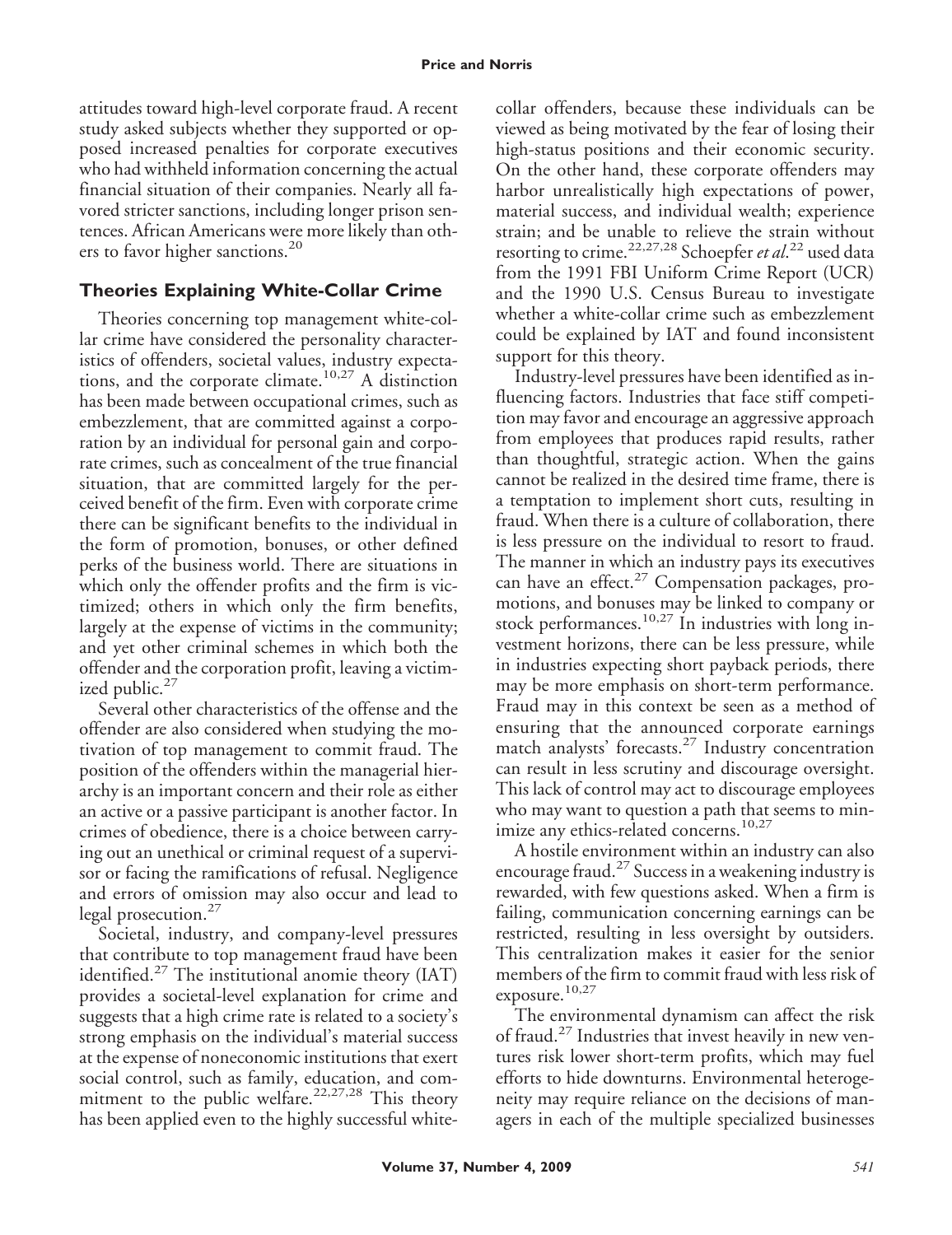attitudes toward high-level corporate fraud. A recent study asked subjects whether they supported or opposed increased penalties for corporate executives who had withheld information concerning the actual financial situation of their companies. Nearly all favored stricter sanctions, including longer prison sentences. African Americans were more likely than others to favor higher sanctions.<sup>20</sup>

# **Theories Explaining White-Collar Crime**

Theories concerning top management white-collar crime have considered the personality characteristics of offenders, societal values, industry expectations, and the corporate climate.<sup>10,27</sup> A distinction has been made between occupational crimes, such as embezzlement, that are committed against a corporation by an individual for personal gain and corporate crimes, such as concealment of the true financial situation, that are committed largely for the perceived benefit of the firm. Even with corporate crime there can be significant benefits to the individual in the form of promotion, bonuses, or other defined perks of the business world. There are situations in which only the offender profits and the firm is victimized; others in which only the firm benefits, largely at the expense of victims in the community; and yet other criminal schemes in which both the offender and the corporation profit, leaving a victimized public. $27$ 

Several other characteristics of the offense and the offender are also considered when studying the motivation of top management to commit fraud. The position of the offenders within the managerial hierarchy is an important concern and their role as either an active or a passive participant is another factor. In crimes of obedience, there is a choice between carrying out an unethical or criminal request of a supervisor or facing the ramifications of refusal. Negligence and errors of omission may also occur and lead to legal prosecution.<sup>27</sup>

Societal, industry, and company-level pressures that contribute to top management fraud have been identified. $27$  The institutional anomie theory (IAT) provides a societal-level explanation for crime and suggests that a high crime rate is related to a society's strong emphasis on the individual's material success at the expense of noneconomic institutions that exert social control, such as family, education, and commitment to the public welfare.<sup>22,27,28</sup> This theory has been applied even to the highly successful whitecollar offenders, because these individuals can be viewed as being motivated by the fear of losing their high-status positions and their economic security. On the other hand, these corporate offenders may harbor unrealistically high expectations of power, material success, and individual wealth; experience strain; and be unable to relieve the strain without resorting to crime.22,27,28 Schoepfer *et al*. <sup>22</sup> used data from the 1991 FBI Uniform Crime Report (UCR) and the 1990 U.S. Census Bureau to investigate whether a white-collar crime such as embezzlement could be explained by IAT and found inconsistent support for this theory.

Industry-level pressures have been identified as influencing factors. Industries that face stiff competition may favor and encourage an aggressive approach from employees that produces rapid results, rather than thoughtful, strategic action. When the gains cannot be realized in the desired time frame, there is a temptation to implement short cuts, resulting in fraud. When there is a culture of collaboration, there is less pressure on the individual to resort to fraud. The manner in which an industry pays its executives can have an effect. $27$  Compensation packages, promotions, and bonuses may be linked to company or stock performances.<sup>10,27</sup> In industries with long investment horizons, there can be less pressure, while in industries expecting short payback periods, there may be more emphasis on short-term performance. Fraud may in this context be seen as a method of ensuring that the announced corporate earnings match analysts' forecasts.<sup>27</sup> Industry concentration can result in less scrutiny and discourage oversight. This lack of control may act to discourage employees who may want to question a path that seems to minimize any ethics-related concerns.<sup>10,27</sup>

A hostile environment within an industry can also encourage fraud.<sup>27</sup> Success in a weakening industry is rewarded, with few questions asked. When a firm is failing, communication concerning earnings can be restricted, resulting in less oversight by outsiders. This centralization makes it easier for the senior members of the firm to commit fraud with less risk of exposure. $10,27$ 

The environmental dynamism can affect the risk of fraud.<sup>27</sup> Industries that invest heavily in new ventures risk lower short-term profits, which may fuel efforts to hide downturns. Environmental heterogeneity may require reliance on the decisions of managers in each of the multiple specialized businesses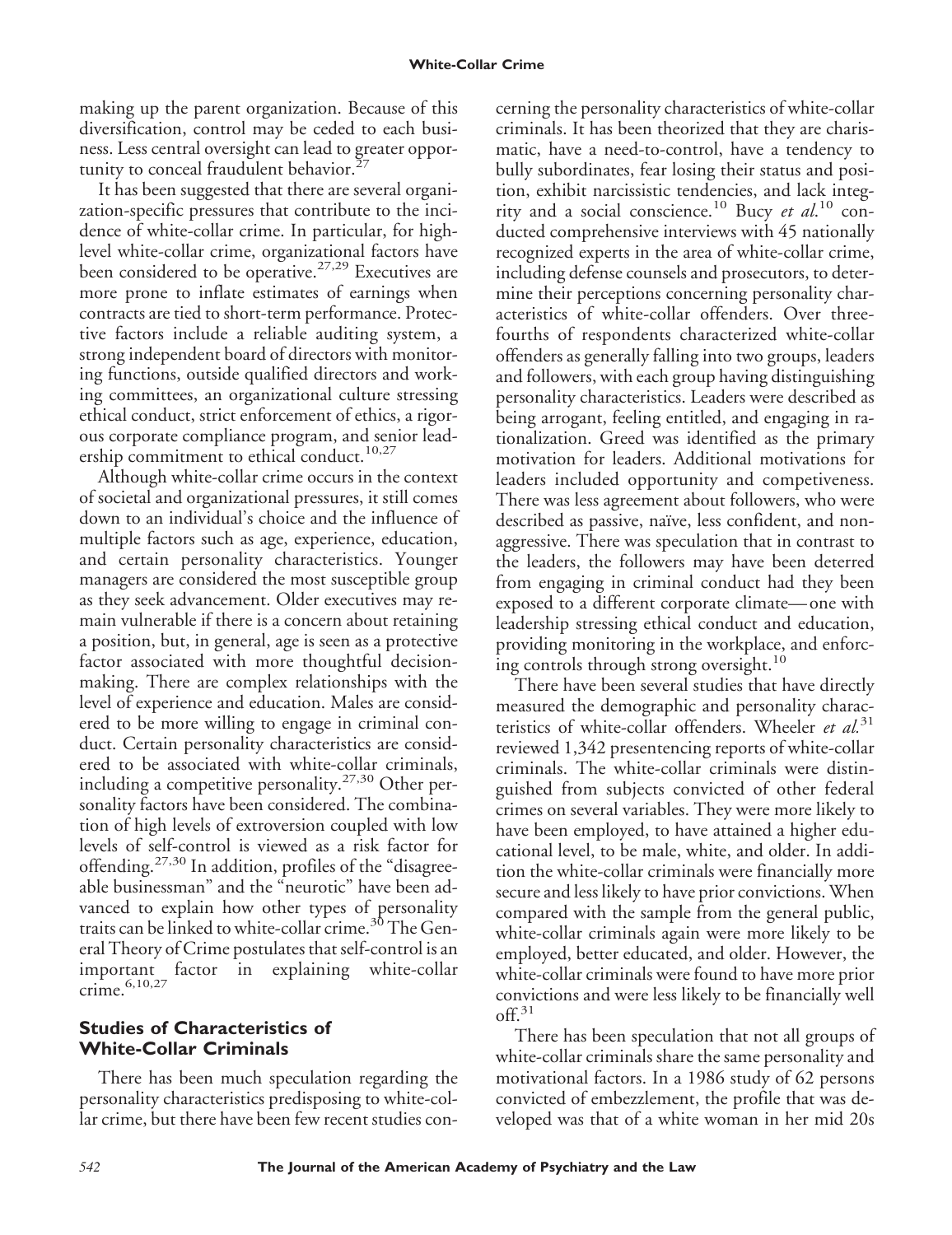making up the parent organization. Because of this diversification, control may be ceded to each business. Less central oversight can lead to greater opportunity to conceal fraudulent behavior. $27$ 

It has been suggested that there are several organization-specific pressures that contribute to the incidence of white-collar crime. In particular, for highlevel white-collar crime, organizational factors have been considered to be operative.27,29 Executives are more prone to inflate estimates of earnings when contracts are tied to short-term performance. Protective factors include a reliable auditing system, a strong independent board of directors with monitoring functions, outside qualified directors and working committees, an organizational culture stressing ethical conduct, strict enforcement of ethics, a rigorous corporate compliance program, and senior leadership commitment to ethical conduct.<sup>10,27</sup>

Although white-collar crime occurs in the context of societal and organizational pressures, it still comes down to an individual's choice and the influence of multiple factors such as age, experience, education, and certain personality characteristics. Younger managers are considered the most susceptible group as they seek advancement. Older executives may remain vulnerable if there is a concern about retaining a position, but, in general, age is seen as a protective factor associated with more thoughtful decisionmaking. There are complex relationships with the level of experience and education. Males are considered to be more willing to engage in criminal conduct. Certain personality characteristics are considered to be associated with white-collar criminals, including a competitive personality.<sup>27,30</sup> Other personality factors have been considered. The combination of high levels of extroversion coupled with low levels of self-control is viewed as a risk factor for offending.<sup>27,30</sup> In addition, profiles of the "disagreeable businessman" and the "neurotic" have been advanced to explain how other types of personality traits can be linked to white-collar crime.<sup>30</sup> The General Theory of Crime postulates that self-control is an important factor in explaining white-collar crime. $6,10,27$ 

### **Studies of Characteristics of White-Collar Criminals**

There has been much speculation regarding the personality characteristics predisposing to white-collar crime, but there have been few recent studies concerning the personality characteristics of white-collar criminals. It has been theorized that they are charismatic, have a need-to-control, have a tendency to bully subordinates, fear losing their status and position, exhibit narcissistic tendencies, and lack integrity and a social conscience.<sup>10</sup> Bucy *et al*. <sup>10</sup> conducted comprehensive interviews with 45 nationally recognized experts in the area of white-collar crime, including defense counsels and prosecutors, to determine their perceptions concerning personality characteristics of white-collar offenders. Over threefourths of respondents characterized white-collar offenders as generally falling into two groups, leaders and followers, with each group having distinguishing personality characteristics. Leaders were described as being arrogant, feeling entitled, and engaging in rationalization. Greed was identified as the primary motivation for leaders. Additional motivations for leaders included opportunity and competiveness. There was less agreement about followers, who were described as passive, naïve, less confident, and nonaggressive. There was speculation that in contrast to the leaders, the followers may have been deterred from engaging in criminal conduct had they been exposed to a different corporate climate—one with leadership stressing ethical conduct and education, providing monitoring in the workplace, and enforcing controls through strong oversight.<sup>10</sup>

There have been several studies that have directly measured the demographic and personality characteristics of white-collar offenders. Wheeler *et al.*<sup>31</sup> reviewed 1,342 presentencing reports of white-collar criminals. The white-collar criminals were distinguished from subjects convicted of other federal crimes on several variables. They were more likely to have been employed, to have attained a higher educational level, to be male, white, and older. In addition the white-collar criminals were financially more secure and less likely to have prior convictions. When compared with the sample from the general public, white-collar criminals again were more likely to be employed, better educated, and older. However, the white-collar criminals were found to have more prior convictions and were less likely to be financially well  $\mathrm{off.}^{31}$ 

There has been speculation that not all groups of white-collar criminals share the same personality and motivational factors. In a 1986 study of 62 persons convicted of embezzlement, the profile that was developed was that of a white woman in her mid 20s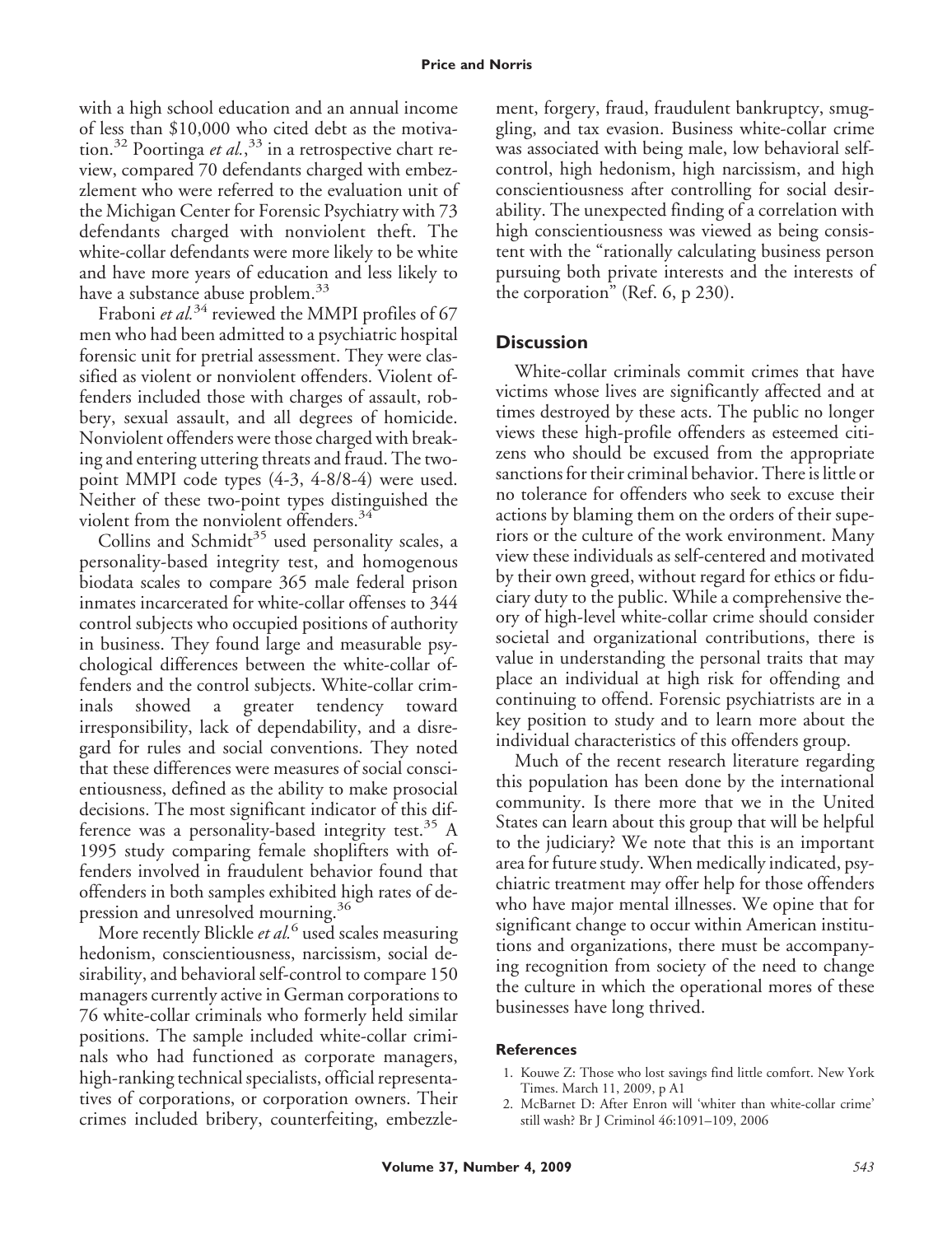with a high school education and an annual income of less than \$10,000 who cited debt as the motivation.<sup>32</sup> Poortinga *et al.*,<sup>33</sup> in a retrospective chart review, compared 70 defendants charged with embezzlement who were referred to the evaluation unit of the Michigan Center for Forensic Psychiatry with 73 defendants charged with nonviolent theft. The white-collar defendants were more likely to be white and have more years of education and less likely to have a substance abuse problem.<sup>33</sup>

Fraboni *et al.*<sup>34</sup> reviewed the MMPI profiles of 67 men who had been admitted to a psychiatric hospital forensic unit for pretrial assessment. They were classified as violent or nonviolent offenders. Violent offenders included those with charges of assault, robbery, sexual assault, and all degrees of homicide. Nonviolent offenders were those charged with breaking and entering uttering threats and fraud. The twopoint MMPI code types (4-3, 4-8/8-4) were used. Neither of these two-point types distinguished the violent from the nonviolent offenders.<sup>34</sup>

Collins and Schmidt<sup>35</sup> used personality scales, a personality-based integrity test, and homogenous biodata scales to compare 365 male federal prison inmates incarcerated for white-collar offenses to 344 control subjects who occupied positions of authority in business. They found large and measurable psychological differences between the white-collar offenders and the control subjects. White-collar criminals showed a greater tendency toward irresponsibility, lack of dependability, and a disregard for rules and social conventions. They noted that these differences were measures of social conscientiousness, defined as the ability to make prosocial decisions. The most significant indicator of this difference was a personality-based integrity test.<sup>35</sup> A 1995 study comparing female shoplifters with offenders involved in fraudulent behavior found that offenders in both samples exhibited high rates of depression and unresolved mourning.<sup>36</sup>

More recently Blickle *et al.*<sup>6</sup> used scales measuring hedonism, conscientiousness, narcissism, social desirability, and behavioral self-control to compare 150 managers currently active in German corporations to 76 white-collar criminals who formerly held similar positions. The sample included white-collar criminals who had functioned as corporate managers, high-ranking technical specialists, official representatives of corporations, or corporation owners. Their crimes included bribery, counterfeiting, embezzlement, forgery, fraud, fraudulent bankruptcy, smuggling, and tax evasion. Business white-collar crime was associated with being male, low behavioral selfcontrol, high hedonism, high narcissism, and high conscientiousness after controlling for social desirability. The unexpected finding of a correlation with high conscientiousness was viewed as being consistent with the "rationally calculating business person pursuing both private interests and the interests of the corporation" (Ref. 6, p 230).

#### **Discussion**

White-collar criminals commit crimes that have victims whose lives are significantly affected and at times destroyed by these acts. The public no longer views these high-profile offenders as esteemed citizens who should be excused from the appropriate sanctions for their criminal behavior. There is little or no tolerance for offenders who seek to excuse their actions by blaming them on the orders of their superiors or the culture of the work environment. Many view these individuals as self-centered and motivated by their own greed, without regard for ethics or fiduciary duty to the public. While a comprehensive theory of high-level white-collar crime should consider societal and organizational contributions, there is value in understanding the personal traits that may place an individual at high risk for offending and continuing to offend. Forensic psychiatrists are in a key position to study and to learn more about the individual characteristics of this offenders group.

Much of the recent research literature regarding this population has been done by the international community. Is there more that we in the United States can learn about this group that will be helpful to the judiciary? We note that this is an important area for future study. When medically indicated, psychiatric treatment may offer help for those offenders who have major mental illnesses. We opine that for significant change to occur within American institutions and organizations, there must be accompanying recognition from society of the need to change the culture in which the operational mores of these businesses have long thrived.

#### **References**

- 1. Kouwe Z: Those who lost savings find little comfort. New York Times. March 11, 2009, p A1
- 2. McBarnet D: After Enron will 'whiter than white-collar crime' still wash? Br J Criminol 46:1091–109, 2006